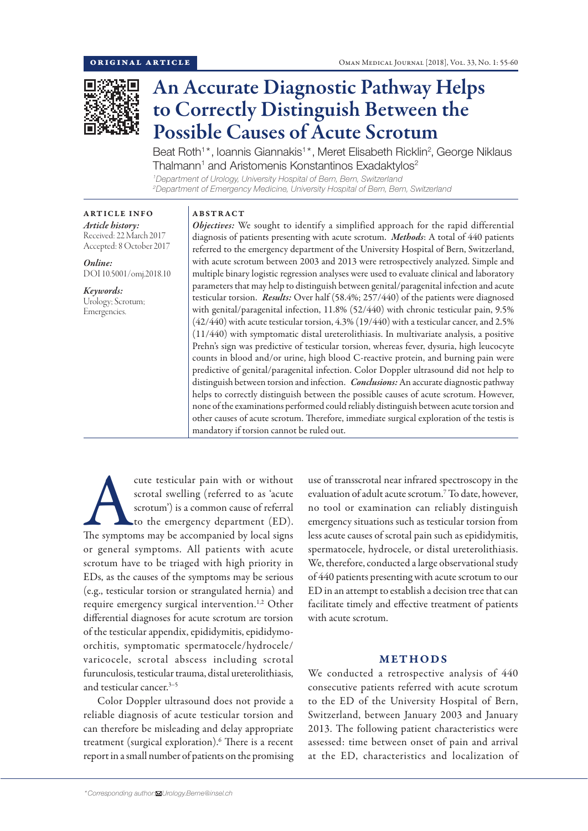

# An Accurate Diagnostic Pathway Helps to Correctly Distinguish Between the Possible Causes of Acute Scrotum

Beat Roth<sup>1\*</sup>, Ioannis Giannakis<sup>1\*</sup>, Meret Elisabeth Ricklin<sup>2</sup>, George Niklaus  ${\rm Thalmann^1}$  and Aristomenis Konstantinos Exadaktylos $^2$ 

*1 Department of Urology, University Hospital of Bern, Bern, Switzerland 2 Department of Emergency Medicine, University Hospital of Bern, Bern, Switzerland*

## ABSTRACT

ARTICLE INFO *Article history:* Received: 22 March 2017 Accepted: 8 October 2017

*Online:* DOI 10.5001/omj.2018.10

*Keywords:*  Urology; Scrotum; Emergencies.

*Objectives:* We sought to identify a simplified approach for the rapid differential diagnosis of patients presenting with acute scrotum. *Methods*: A total of 440 patients referred to the emergency department of the University Hospital of Bern, Switzerland, with acute scrotum between 2003 and 2013 were retrospectively analyzed. Simple and multiple binary logistic regression analyses were used to evaluate clinical and laboratory parameters that may help to distinguish between genital/paragenital infection and acute testicular torsion. *Results:* Over half (58.4%; 257/440) of the patients were diagnosed with genital/paragenital infection, 11.8% (52/440) with chronic testicular pain, 9.5% (42/440) with acute testicular torsion, 4.3% (19/440) with a testicular cancer, and 2.5% (11/440) with symptomatic distal ureterolithiasis. In multivariate analysis, a positive Prehn's sign was predictive of testicular torsion, whereas fever, dysuria, high leucocyte counts in blood and/or urine, high blood C-reactive protein, and burning pain were predictive of genital/paragenital infection. Color Doppler ultrasound did not help to distinguish between torsion and infection. *Conclusions:* An accurate diagnostic pathway helps to correctly distinguish between the possible causes of acute scrotum. However, none of the examinations performed could reliably distinguish between acute torsion and other causes of acute scrotum. Therefore, immediate surgical exploration of the testis is mandatory if torsion cannot be ruled out.

cute testicular pain with or without<br>
scrotal swelling (referred to as 'acute<br>
scrotum') is a common cause of referral<br>
to the emergency department (ED).<br>
The symptoms may be accompanied by local signs scrotal swelling (referred to as 'acute scrotum') is a common cause of referral to the emergency department (ED). or general symptoms. All patients with acute scrotum have to be triaged with high priority in EDs, as the causes of the symptoms may be serious (e.g., testicular torsion or strangulated hernia) and require emergency surgical intervention.<sup>1,2</sup> Other differential diagnoses for acute scrotum are torsion of the testicular appendix, epididymitis, epididymoorchitis, symptomatic spermatocele/hydrocele/ varicocele, scrotal abscess including scrotal furunculosis, testicular trauma, distal ureterolithiasis, and testicular cancer.3–5

Color Doppler ultrasound does not provide a reliable diagnosis of acute testicular torsion and can therefore be misleading and delay appropriate treatment (surgical exploration).6 There is a recent report in a small number of patients on the promising

use of transscrotal near infrared spectroscopy in the evaluation of adult acute scrotum.7 To date, however, no tool or examination can reliably distinguish emergency situations such as testicular torsion from less acute causes of scrotal pain such as epididymitis, spermatocele, hydrocele, or distal ureterolithiasis. We, therefore, conducted a large observational study of 440 patients presenting with acute scrotum to our ED in an attempt to establish a decision tree that can facilitate timely and effective treatment of patients with acute scrotum.

## METHODS

We conducted a retrospective analysis of 440 consecutive patients referred with acute scrotum to the ED of the University Hospital of Bern, Switzerland, between January 2003 and January 2013. The following patient characteristics were assessed: time between onset of pain and arrival at the ED, characteristics and localization of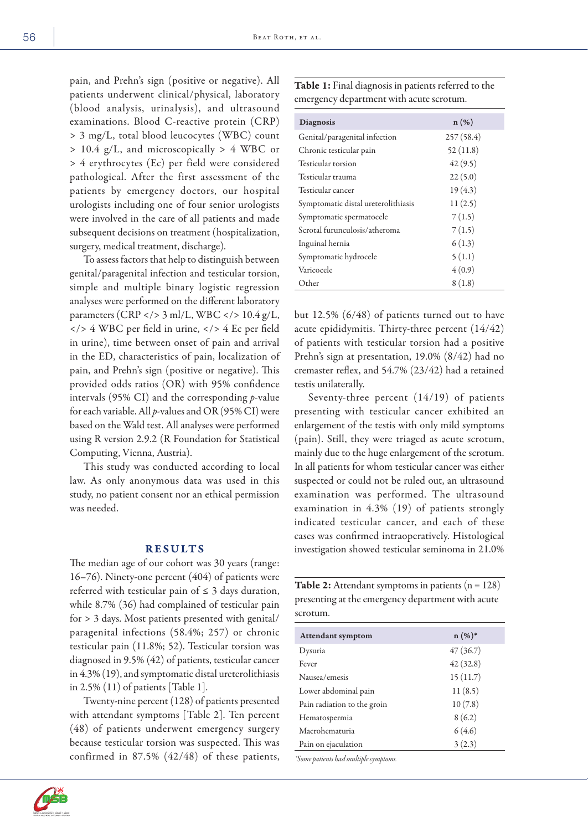pain, and Prehn's sign (positive or negative). All patients underwent clinical/physical, laboratory (blood analysis, urinalysis), and ultrasound examinations. Blood C-reactive protein (CRP) > 3 mg/L, total blood leucocytes (WBC) count > 10.4 g/L, and microscopically > 4 WBC or > 4 erythrocytes (Ec) per field were considered pathological. After the first assessment of the patients by emergency doctors, our hospital urologists including one of four senior urologists were involved in the care of all patients and made subsequent decisions on treatment (hospitalization, surgery, medical treatment, discharge).

To assess factors that help to distinguish between genital/paragenital infection and testicular torsion, simple and multiple binary logistic regression analyses were performed on the different laboratory parameters (CRP </> 3 ml/L, WBC </> 10.4 g/L, </> 4 WBC per field in urine, </> 4 Ec per field in urine), time between onset of pain and arrival in the ED, characteristics of pain, localization of pain, and Prehn's sign (positive or negative). This provided odds ratios (OR) with 95% confidence intervals (95% CI) and the corresponding *p*-value for each variable. All *p*-values and OR (95% CI) were based on the Wald test. All analyses were performed using R version 2.9.2 (R Foundation for Statistical Computing, Vienna, Austria).

This study was conducted according to local law. As only anonymous data was used in this study, no patient consent nor an ethical permission was needed.

## RESULTS

The median age of our cohort was 30 years (range: 16–76). Ninety-one percent (404) of patients were referred with testicular pain of  $\leq$  3 days duration, while 8.7% (36) had complained of testicular pain for > 3 days. Most patients presented with genital/ paragenital infections (58.4%; 257) or chronic testicular pain (11.8%; 52). Testicular torsion was diagnosed in 9.5% (42) of patients, testicular cancer in 4.3% (19), and symptomatic distal ureterolithiasis in 2.5% (11) of patients [Table 1].

Twenty-nine percent (128) of patients presented with attendant symptoms [Table 2]. Ten percent (48) of patients underwent emergency surgery because testicular torsion was suspected. This was confirmed in 87.5% (42/48) of these patients,



| <b>Diagnosis</b>                    | $n(\%)$   |
|-------------------------------------|-----------|
| Genital/paragenital infection       | 257(58.4) |
| Chronic testicular pain             | 52(11.8)  |
| Testicular torsion                  | 42(9.5)   |
| Testicular trauma                   | 22(5.0)   |
| Testicular cancer                   | 19(4.3)   |
| Symptomatic distal ureterolithiasis | 11(2.5)   |
| Symptomatic spermatocele            | 7(1.5)    |
| Scrotal furunculosis/atheroma       | 7(1.5)    |
| Inguinal hernia                     | 6(1.3)    |
| Symptomatic hydrocele               | 5(1.1)    |
| Varicocele                          | 4(0.9)    |
| Other                               | 8(1.8)    |

but 12.5% (6/48) of patients turned out to have acute epididymitis. Thirty-three percent (14/42) of patients with testicular torsion had a positive Prehn's sign at presentation, 19.0% (8/42) had no cremaster reflex, and 54.7% (23/42) had a retained testis unilaterally.

Seventy-three percent (14/19) of patients presenting with testicular cancer exhibited an enlargement of the testis with only mild symptoms (pain). Still, they were triaged as acute scrotum, mainly due to the huge enlargement of the scrotum. In all patients for whom testicular cancer was either suspected or could not be ruled out, an ultrasound examination was performed. The ultrasound examination in 4.3% (19) of patients strongly indicated testicular cancer, and each of these cases was confirmed intraoperatively. Histological investigation showed testicular seminoma in 21.0%

| <b>Table 2:</b> Attendant symptoms in patients $(n = 128)$ |
|------------------------------------------------------------|
| presenting at the emergency department with acute          |
| scrotum.                                                   |

| <b>Attendant symptom</b>              | $n (%)^*$ |
|---------------------------------------|-----------|
| Dysuria                               | 47(36.7)  |
| Fever                                 | 42(32.8)  |
| Nausea/emesis                         | 15(11.7)  |
| Lower abdominal pain                  | 11(8.5)   |
| Pain radiation to the groin           | 10(7.8)   |
| Hematospermia                         | 8(6.2)    |
| Macrohematuria                        | 6(4.6)    |
| Pain on ejaculation                   | 3(2.3)    |
| *Some patients had multiple symptoms. |           |

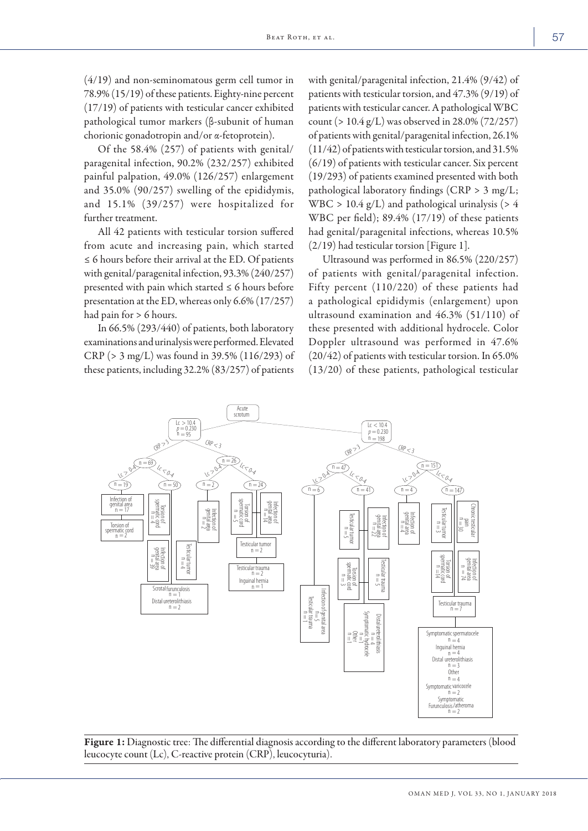(4/19) and non-seminomatous germ cell tumor in 78.9% (15/19) of these patients. Eighty-nine percent (17/19) of patients with testicular cancer exhibited pathological tumor markers (β-subunit of human chorionic gonadotropin and/or α-fetoprotein).

Of the 58.4% (257) of patients with genital/ paragenital infection, 90.2% (232/257) exhibited painful palpation, 49.0% (126/257) enlargement and 35.0% (90/257) swelling of the epididymis, and 15.1% (39/257) were hospitalized for further treatment.

All 42 patients with testicular torsion suffered from acute and increasing pain, which started ≤ 6 hours before their arrival at the ED. Of patients with genital/paragenital infection, 93.3% (240/257) presented with pain which started  $\leq 6$  hours before presentation at the ED, whereas only 6.6% (17/257) had pain for > 6 hours.

In 66.5% (293/440) of patients, both laboratory examinations and urinalysis were performed. Elevated CRP (> 3 mg/L) was found in 39.5% (116/293) of these patients, including 32.2% (83/257) of patients

with genital/paragenital infection, 21.4% (9/42) of patients with testicular torsion, and 47.3% (9/19) of patients with testicular cancer. A pathological WBC count (> 10.4 g/L) was observed in 28.0% (72/257) of patients with genital/paragenital infection, 26.1% (11/42) of patients with testicular torsion, and 31.5% (6/19) of patients with testicular cancer. Six percent (19/293) of patients examined presented with both pathological laboratory findings (CRP > 3 mg/L;  $WBC > 10.4$  g/L) and pathological urinalysis (> 4 WBC per field); 89.4% (17/19) of these patients had genital/paragenital infections, whereas 10.5% (2/19) had testicular torsion [Figure 1].

Ultrasound was performed in 86.5% (220/257) of patients with genital/paragenital infection. Fifty percent (110/220) of these patients had a pathological epididymis (enlargement) upon ultrasound examination and 46.3% (51/110) of these presented with additional hydrocele. Color Doppler ultrasound was performed in 47.6% (20/42) of patients with testicular torsion. In 65.0% (13/20) of these patients, pathological testicular



Figure 1: Diagnostic tree: The differential diagnosis according to the different laboratory parameters (blood leucocyte count (Lc), C-reactive protein (CRP), leucocyturia).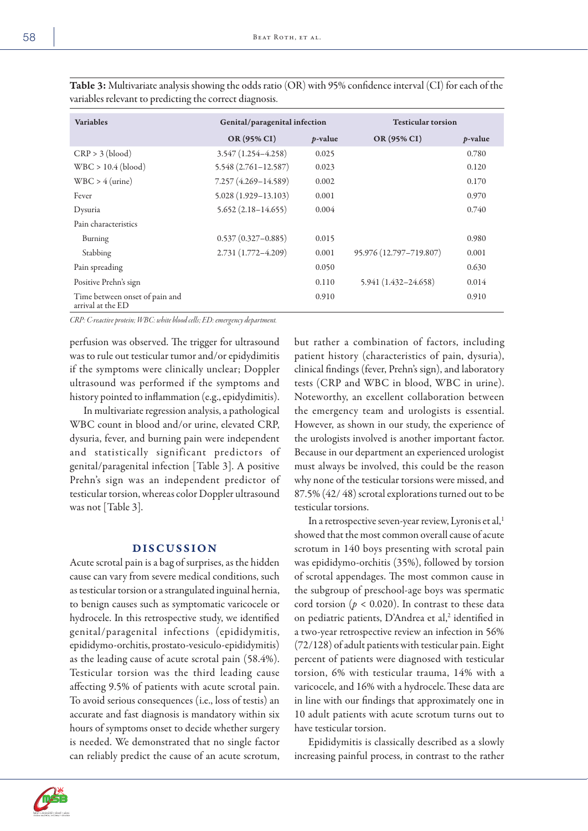| <b>Variables</b>                                    | Genital/paragenital infection |                 | <b>Testicular torsion</b> |                 |
|-----------------------------------------------------|-------------------------------|-----------------|---------------------------|-----------------|
|                                                     | OR (95% CI)                   | <i>p</i> -value | OR (95% CI)               | <i>p</i> -value |
| CRP > 3 (blood)                                     | $3.547(1.254 - 4.258)$        | 0.025           |                           | 0.780           |
| $WBC > 10.4$ (blood)                                | $5.548(2.761 - 12.587)$       | 0.023           |                           | 0.120           |
| $WBC > 4$ (urine)                                   | 7.257 (4.269–14.589)          | 0.002           |                           | 0.170           |
| Fever                                               | $5.028(1.929 - 13.103)$       | 0.001           |                           | 0.970           |
| Dysuria                                             | $5.652(2.18-14.655)$          | 0.004           |                           | 0.740           |
| Pain characteristics                                |                               |                 |                           |                 |
| Burning                                             | $0.537(0.327 - 0.885)$        | 0.015           |                           | 0.980           |
| Stabbing                                            | $2.731(1.772 - 4.209)$        | 0.001           | 95.976 (12.797-719.807)   | 0.001           |
| Pain spreading                                      |                               | 0.050           |                           | 0.630           |
| Positive Prehn's sign                               |                               | 0.110           | 5.941 (1.432–24.658)      | 0.014           |
| Time between onset of pain and<br>arrival at the ED |                               | 0.910           |                           | 0.910           |

Table 3: Multivariate analysis showing the odds ratio (OR) with 95% confidence interval (CI) for each of the variables relevant to predicting the correct diagnosis.

*CRP: C-reactive protein; WBC: white blood cells; ED: emergency department.*

perfusion was observed. The trigger for ultrasound was to rule out testicular tumor and/or epidydimitis if the symptoms were clinically unclear; Doppler ultrasound was performed if the symptoms and history pointed to inflammation (e.g., epidydimitis).

In multivariate regression analysis, a pathological WBC count in blood and/or urine, elevated CRP, dysuria, fever, and burning pain were independent and statistically significant predictors of genital/paragenital infection [Table 3]. A positive Prehn's sign was an independent predictor of testicular torsion, whereas color Doppler ultrasound was not [Table 3].

# DISCUSSION

Acute scrotal pain is a bag of surprises, as the hidden cause can vary from severe medical conditions, such as testicular torsion or a strangulated inguinal hernia, to benign causes such as symptomatic varicocele or hydrocele. In this retrospective study, we identified genital/paragenital infections (epididymitis, epididymo-orchitis, prostato-vesiculo-epididymitis) as the leading cause of acute scrotal pain (58.4%). Testicular torsion was the third leading cause affecting 9.5% of patients with acute scrotal pain. To avoid serious consequences (i.e., loss of testis) an accurate and fast diagnosis is mandatory within six hours of symptoms onset to decide whether surgery is needed. We demonstrated that no single factor can reliably predict the cause of an acute scrotum, but rather a combination of factors, including patient history (characteristics of pain, dysuria), clinical findings (fever, Prehn's sign), and laboratory tests (CRP and WBC in blood, WBC in urine). Noteworthy, an excellent collaboration between the emergency team and urologists is essential. However, as shown in our study, the experience of the urologists involved is another important factor. Because in our department an experienced urologist must always be involved, this could be the reason why none of the testicular torsions were missed, and 87.5% (42/ 48) scrotal explorations turned out to be testicular torsions.

In a retrospective seven-year review, Lyronis et al,<sup>1</sup> showed that the most common overall cause of acute scrotum in 140 boys presenting with scrotal pain was epididymo-orchitis (35%), followed by torsion of scrotal appendages. The most common cause in the subgroup of preschool-age boys was spermatic cord torsion ( $p < 0.020$ ). In contrast to these data on pediatric patients, D'Andrea et al,<sup>2</sup> identified in a two-year retrospective review an infection in 56% (72/128) of adult patients with testicular pain. Eight percent of patients were diagnosed with testicular torsion, 6% with testicular trauma, 14% with a varicocele, and 16% with a hydrocele.These data are in line with our findings that approximately one in 10 adult patients with acute scrotum turns out to have testicular torsion.

Epididymitis is classically described as a slowly increasing painful process, in contrast to the rather

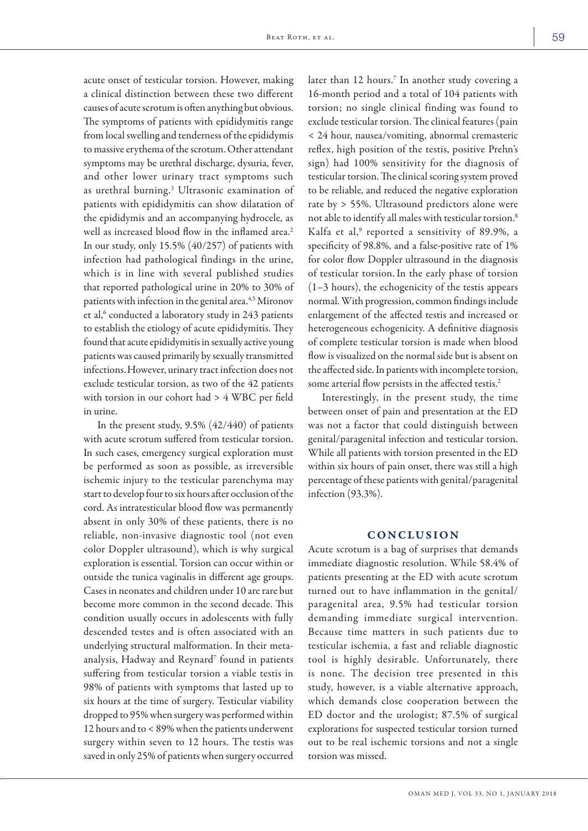acute onset of testicular torsion. However, making a clinical distinction between these two different causes of acute scrotum is often anything but obvious. The symptoms of patients with epididymitis range from local swelling and tenderness of the epididymis to massive erythema of the scrotum. Other attendant symptoms may be urethral discharge, dysuria, fever, and other lower urinary tract symptoms such as urethral burning.<sup>3</sup> Ultrasonic examination of patients with epididymitis can show dilatation of the epididymis and an accompanying hydrocele, as well as increased blood flow in the inflamed area.<sup>2</sup> In our study, only 15.5% (40/257) of patients with infection had pathological findings in the urine, which is in line with several published studies that reported pathological urine in 20% to 30% of patients with infection in the genital area.<sup>4,5</sup> Mironov et al,<sup>6</sup> conducted a laboratory study in 243 patients to establish the etiology of acute epididymitis. They found that acute epididymitis in sexually active young patients was caused primarily by sexually transmitted infections.However, urinary tract infection does not exclude testicular torsion, as two of the 42 patients with torsion in our cohort had > 4 WBC per field in urine.

In the present study, 9.5% (42/440) of patients with acute scrotum suffered from testicular torsion. In such cases, emergency surgical exploration must be performed as soon as possible, as irreversible ischemic injury to the testicular parenchyma may start to develop four to six hours after occlusion of the cord. As intratesticular blood flow was permanently absent in only 30% of these patients, there is no reliable, non-invasive diagnostic tool (not even color Doppler ultrasound), which is why surgical exploration is essential. Torsion can occur within or outside the tunica vaginalis in different age groups. Cases in neonates and children under 10 are rare but become more common in the second decade. This condition usually occurs in adolescents with fully descended testes and is often associated with an underlying structural malformation. In their metaanalysis, Hadway and Reynard7 found in patients suffering from testicular torsion a viable testis in 98% of patients with symptoms that lasted up to six hours at the time of surgery. Testicular viability dropped to 95% when surgery was performed within 12 hours and to < 89% when the patients underwent surgery within seven to 12 hours. The testis was saved in only 25% of patients when surgery occurred

later than 12 hours.7 In another study covering a 16-month period and a total of 104 patients with torsion; no single clinical finding was found to exclude testicular torsion. The clinical features (pain < 24 hour, nausea/vomiting, abnormal cremasteric reflex, high position of the testis, positive Prehn's sign) had 100% sensitivity for the diagnosis of testicular torsion. The clinical scoring system proved to be reliable, and reduced the negative exploration rate by > 55%. Ultrasound predictors alone were not able to identify all males with testicular torsion.8 Kalfa et al,<sup>9</sup> reported a sensitivity of 89.9%, a specificity of 98.8%, and a false-positive rate of 1% for color flow Doppler ultrasound in the diagnosis of testicular torsion. In the early phase of torsion (1–3 hours), the echogenicity of the testis appears normal. With progression, common findings include enlargement of the affected testis and increased or heterogeneous echogenicity. A definitive diagnosis of complete testicular torsion is made when blood flow is visualized on the normal side but is absent on the affected side. In patients with incomplete torsion, some arterial flow persists in the affected testis.2

Interestingly, in the present study, the time between onset of pain and presentation at the ED was not a factor that could distinguish between genital/paragenital infection and testicular torsion. While all patients with torsion presented in the ED within six hours of pain onset, there was still a high percentage of these patients with genital/paragenital infection (93.3%).

# **CONCLUSION**

Acute scrotum is a bag of surprises that demands immediate diagnostic resolution. While 58.4% of patients presenting at the ED with acute scrotum turned out to have inflammation in the genital/ paragenital area, 9.5% had testicular torsion demanding immediate surgical intervention. Because time matters in such patients due to testicular ischemia, a fast and reliable diagnostic tool is highly desirable. Unfortunately, there is none. The decision tree presented in this study, however, is a viable alternative approach, which demands close cooperation between the ED doctor and the urologist; 87.5% of surgical explorations for suspected testicular torsion turned out to be real ischemic torsions and not a single torsion was missed.